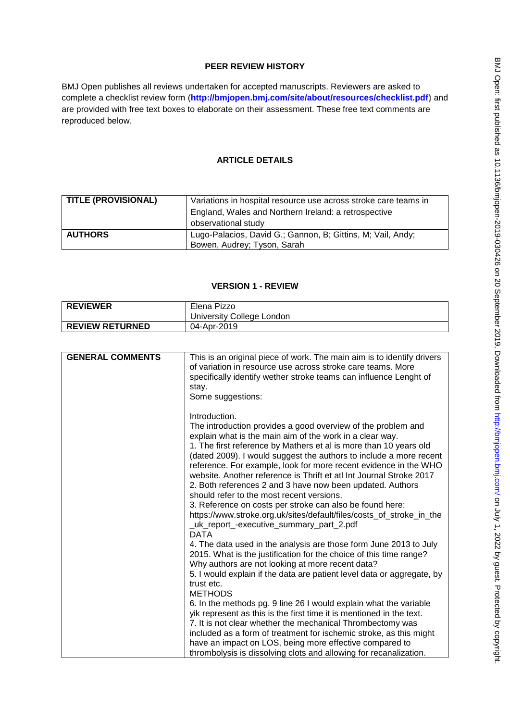# **PEER REVIEW HISTORY**

BMJ Open publishes all reviews undertaken for accepted manuscripts. Reviewers are asked to complete a checklist review form (**[http://bmjopen.bmj.com/site/about/resources/checklist.pdf\)](http://bmjopen.bmj.com/site/about/resources/checklist.pdf)** and are provided with free text boxes to elaborate on their assessment. These free text comments are reproduced below.

# **ARTICLE DETAILS**

| <b>TITLE (PROVISIONAL)</b> | Variations in hospital resource use across stroke care teams in                            |
|----------------------------|--------------------------------------------------------------------------------------------|
|                            | England, Wales and Northern Ireland: a retrospective                                       |
|                            | observational study                                                                        |
| <b>AUTHORS</b>             | Lugo-Palacios, David G.; Gannon, B; Gittins, M; Vail, Andy;<br>Bowen, Audrey; Tyson, Sarah |

# **VERSION 1 - REVIEW**

| <b>REVIEWER</b>        | Elena Pizzo               |
|------------------------|---------------------------|
|                        | University College London |
| <b>REVIEW RETURNED</b> | 04-Apr-2019               |

| <b>GENERAL COMMENTS</b> | This is an original piece of work. The main aim is to identify drivers<br>of variation in resource use across stroke care teams. More<br>specifically identify wether stroke teams can influence Lenght of<br>stay.<br>Some suggestions:                                                                                                                                                                                                                                                                                                                                                                                                                                                                                                 |
|-------------------------|------------------------------------------------------------------------------------------------------------------------------------------------------------------------------------------------------------------------------------------------------------------------------------------------------------------------------------------------------------------------------------------------------------------------------------------------------------------------------------------------------------------------------------------------------------------------------------------------------------------------------------------------------------------------------------------------------------------------------------------|
|                         | Introduction.<br>The introduction provides a good overview of the problem and<br>explain what is the main aim of the work in a clear way.<br>1. The first reference by Mathers et al is more than 10 years old<br>(dated 2009). I would suggest the authors to include a more recent<br>reference. For example, look for more recent evidence in the WHO<br>website. Another reference is Thrift et atl Int Journal Stroke 2017<br>2. Both references 2 and 3 have now been updated. Authors<br>should refer to the most recent versions.<br>3. Reference on costs per stroke can also be found here:<br>https://www.stroke.org.uk/sites/default/files/costs_of_stroke_in_the<br>_uk_report_-executive_summary_part_2.pdf<br><b>DATA</b> |
|                         | 4. The data used in the analysis are those form June 2013 to July<br>2015. What is the justification for the choice of this time range?<br>Why authors are not looking at more recent data?                                                                                                                                                                                                                                                                                                                                                                                                                                                                                                                                              |
|                         | 5. I would explain if the data are patient level data or aggregate, by<br>trust etc.<br><b>METHODS</b>                                                                                                                                                                                                                                                                                                                                                                                                                                                                                                                                                                                                                                   |
|                         | 6. In the methods pg. 9 line 26 I would explain what the variable<br>yik represent as this is the first time it is mentioned in the text.                                                                                                                                                                                                                                                                                                                                                                                                                                                                                                                                                                                                |
|                         | 7. It is not clear whether the mechanical Thrombectomy was                                                                                                                                                                                                                                                                                                                                                                                                                                                                                                                                                                                                                                                                               |
|                         | included as a form of treatment for ischemic stroke, as this might<br>have an impact on LOS, being more effective compared to                                                                                                                                                                                                                                                                                                                                                                                                                                                                                                                                                                                                            |
|                         | thrombolysis is dissolving clots and allowing for recanalization.                                                                                                                                                                                                                                                                                                                                                                                                                                                                                                                                                                                                                                                                        |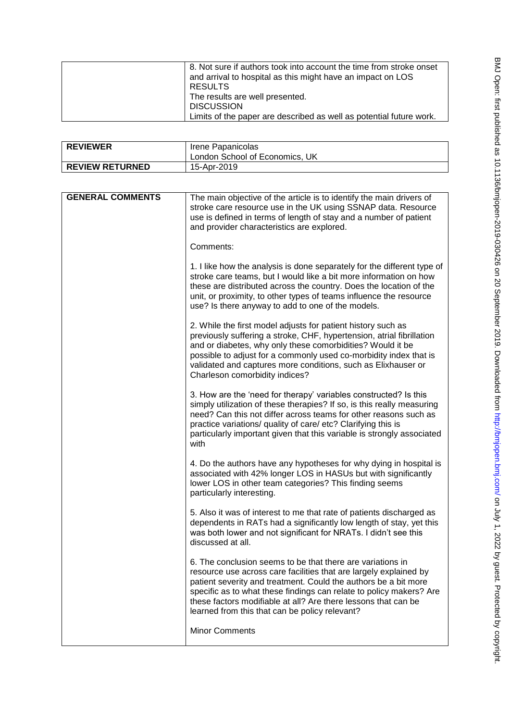| 8. Not sure if authors took into account the time from stroke onset<br>and arrival to hospital as this might have an impact on LOS<br>RESULTS<br>The results are well presented.<br><b>DISCUSSION</b> |
|-------------------------------------------------------------------------------------------------------------------------------------------------------------------------------------------------------|
| Limits of the paper are described as well as potential future work.                                                                                                                                   |

| <b>REVIEWER</b>        | Irene Papanicolas<br>London School of Economics, UK |
|------------------------|-----------------------------------------------------|
| <b>REVIEW RETURNED</b> | 15-Apr-2019                                         |

| <b>GENERAL COMMENTS</b> | The main objective of the article is to identify the main drivers of<br>stroke care resource use in the UK using SSNAP data. Resource<br>use is defined in terms of length of stay and a number of patient<br>and provider characteristics are explored.                                                                                                                                      |
|-------------------------|-----------------------------------------------------------------------------------------------------------------------------------------------------------------------------------------------------------------------------------------------------------------------------------------------------------------------------------------------------------------------------------------------|
|                         | Comments:                                                                                                                                                                                                                                                                                                                                                                                     |
|                         | 1. I like how the analysis is done separately for the different type of<br>stroke care teams, but I would like a bit more information on how<br>these are distributed across the country. Does the location of the<br>unit, or proximity, to other types of teams influence the resource<br>use? Is there anyway to add to one of the models.                                                 |
|                         | 2. While the first model adjusts for patient history such as<br>previously suffering a stroke, CHF, hypertension, atrial fibrillation<br>and or diabetes, why only these comorbidities? Would it be<br>possible to adjust for a commonly used co-morbidity index that is<br>validated and captures more conditions, such as Elixhauser or<br>Charleson comorbidity indices?                   |
|                         | 3. How are the 'need for therapy' variables constructed? Is this<br>simply utilization of these therapies? If so, is this really measuring<br>need? Can this not differ across teams for other reasons such as<br>practice variations/ quality of care/ etc? Clarifying this is<br>particularly important given that this variable is strongly associated<br>with                             |
|                         | 4. Do the authors have any hypotheses for why dying in hospital is<br>associated with 42% longer LOS in HASUs but with significantly<br>lower LOS in other team categories? This finding seems<br>particularly interesting.                                                                                                                                                                   |
|                         | 5. Also it was of interest to me that rate of patients discharged as<br>dependents in RATs had a significantly low length of stay, yet this<br>was both lower and not significant for NRATs. I didn't see this<br>discussed at all.                                                                                                                                                           |
|                         | 6. The conclusion seems to be that there are variations in<br>resource use across care facilities that are largely explained by<br>patient severity and treatment. Could the authors be a bit more<br>specific as to what these findings can relate to policy makers? Are<br>these factors modifiable at all? Are there lessons that can be<br>learned from this that can be policy relevant? |
|                         | <b>Minor Comments</b>                                                                                                                                                                                                                                                                                                                                                                         |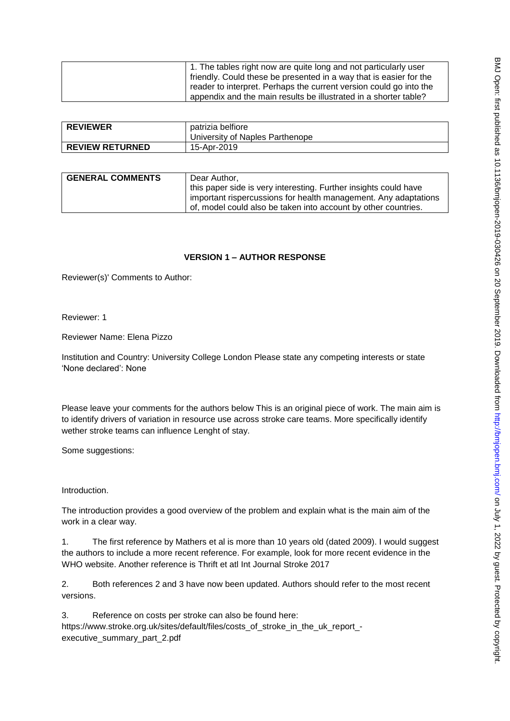| 1. The tables right now are quite long and not particularly user   |
|--------------------------------------------------------------------|
| friendly. Could these be presented in a way that is easier for the |
| reader to interpret. Perhaps the current version could go into the |
| appendix and the main results be illustrated in a shorter table?   |

| <b>REVIEWER</b>        | patrizia belfiore<br>University of Naples Parthenope |
|------------------------|------------------------------------------------------|
| <b>REVIEW RETURNED</b> | 15-Apr-2019                                          |

| <b>GENERAL COMMENTS</b> | Dear Author.                                                     |
|-------------------------|------------------------------------------------------------------|
|                         | this paper side is very interesting. Further insights could have |
|                         | important rispercussions for health management. Any adaptations  |
|                         | of, model could also be taken into account by other countries.   |

# **VERSION 1 – AUTHOR RESPONSE**

Reviewer(s)' Comments to Author:

Reviewer: 1

Reviewer Name: Elena Pizzo

Institution and Country: University College London Please state any competing interests or state 'None declared': None

Please leave your comments for the authors below This is an original piece of work. The main aim is to identify drivers of variation in resource use across stroke care teams. More specifically identify wether stroke teams can influence Lenght of stay.

Some suggestions:

Introduction.

The introduction provides a good overview of the problem and explain what is the main aim of the work in a clear way.

1. The first reference by Mathers et al is more than 10 years old (dated 2009). I would suggest the authors to include a more recent reference. For example, look for more recent evidence in the WHO website. Another reference is Thrift et atl Int Journal Stroke 2017

2. Both references 2 and 3 have now been updated. Authors should refer to the most recent versions.

3. Reference on costs per stroke can also be found here: https://www.stroke.org.uk/sites/default/files/costs\_of\_stroke\_in\_the\_uk\_report\_ executive\_summary\_part\_2.pdf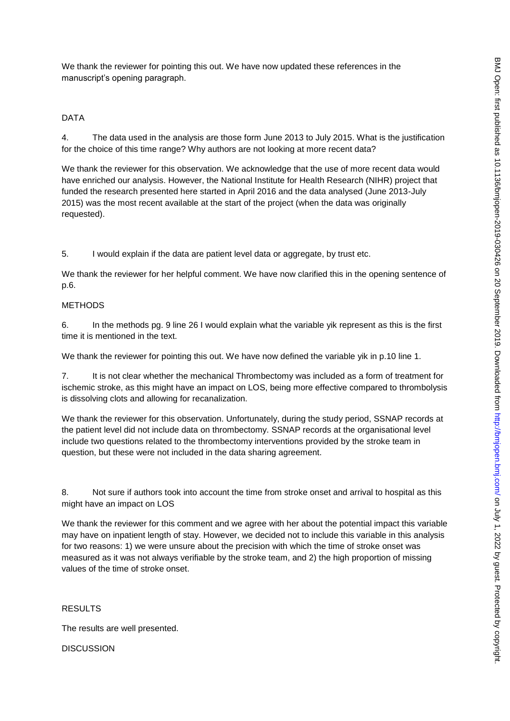We thank the reviewer for pointing this out. We have now updated these references in the manuscript's opening paragraph.

# DATA

4. The data used in the analysis are those form June 2013 to July 2015. What is the justification for the choice of this time range? Why authors are not looking at more recent data?

We thank the reviewer for this observation. We acknowledge that the use of more recent data would have enriched our analysis. However, the National Institute for Health Research (NIHR) project that funded the research presented here started in April 2016 and the data analysed (June 2013-July 2015) was the most recent available at the start of the project (when the data was originally requested).

5. I would explain if the data are patient level data or aggregate, by trust etc.

We thank the reviewer for her helpful comment. We have now clarified this in the opening sentence of p.6.

### METHODS

6. In the methods pg. 9 line 26 I would explain what the variable yik represent as this is the first time it is mentioned in the text.

We thank the reviewer for pointing this out. We have now defined the variable vik in p.10 line 1.

7. It is not clear whether the mechanical Thrombectomy was included as a form of treatment for ischemic stroke, as this might have an impact on LOS, being more effective compared to thrombolysis is dissolving clots and allowing for recanalization.

We thank the reviewer for this observation. Unfortunately, during the study period, SSNAP records at the patient level did not include data on thrombectomy. SSNAP records at the organisational level include two questions related to the thrombectomy interventions provided by the stroke team in question, but these were not included in the data sharing agreement.

8. Not sure if authors took into account the time from stroke onset and arrival to hospital as this might have an impact on LOS

We thank the reviewer for this comment and we agree with her about the potential impact this variable may have on inpatient length of stay. However, we decided not to include this variable in this analysis for two reasons: 1) we were unsure about the precision with which the time of stroke onset was measured as it was not always verifiable by the stroke team, and 2) the high proportion of missing values of the time of stroke onset.

## RESULTS

The results are well presented.

### **DISCUSSION**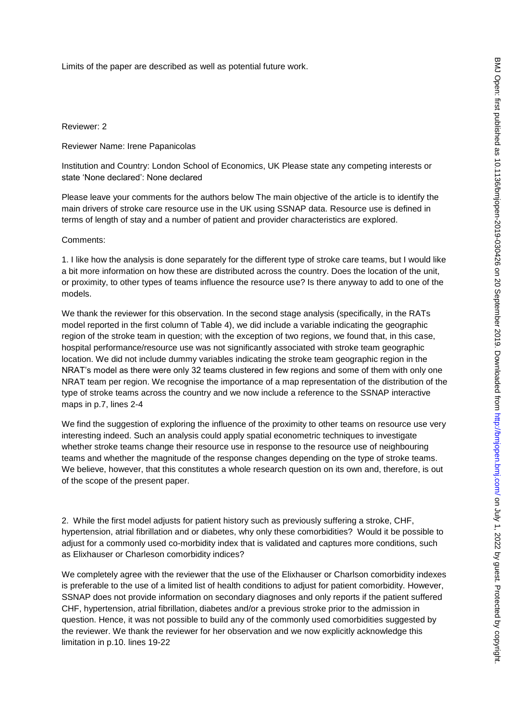Limits of the paper are described as well as potential future work.

Reviewer: 2

Reviewer Name: Irene Papanicolas

Institution and Country: London School of Economics, UK Please state any competing interests or state 'None declared': None declared

Please leave your comments for the authors below The main objective of the article is to identify the main drivers of stroke care resource use in the UK using SSNAP data. Resource use is defined in terms of length of stay and a number of patient and provider characteristics are explored.

#### Comments:

1. I like how the analysis is done separately for the different type of stroke care teams, but I would like a bit more information on how these are distributed across the country. Does the location of the unit, or proximity, to other types of teams influence the resource use? Is there anyway to add to one of the models.

We thank the reviewer for this observation. In the second stage analysis (specifically, in the RATs model reported in the first column of Table 4), we did include a variable indicating the geographic region of the stroke team in question; with the exception of two regions, we found that, in this case, hospital performance/resource use was not significantly associated with stroke team geographic location. We did not include dummy variables indicating the stroke team geographic region in the NRAT's model as there were only 32 teams clustered in few regions and some of them with only one NRAT team per region. We recognise the importance of a map representation of the distribution of the type of stroke teams across the country and we now include a reference to the SSNAP interactive maps in p.7, lines 2-4

We find the suggestion of exploring the influence of the proximity to other teams on resource use very interesting indeed. Such an analysis could apply spatial econometric techniques to investigate whether stroke teams change their resource use in response to the resource use of neighbouring teams and whether the magnitude of the response changes depending on the type of stroke teams. We believe, however, that this constitutes a whole research question on its own and, therefore, is out of the scope of the present paper.

2. While the first model adjusts for patient history such as previously suffering a stroke, CHF, hypertension, atrial fibrillation and or diabetes, why only these comorbidities? Would it be possible to adjust for a commonly used co-morbidity index that is validated and captures more conditions, such as Elixhauser or Charleson comorbidity indices?

We completely agree with the reviewer that the use of the Elixhauser or Charlson comorbidity indexes is preferable to the use of a limited list of health conditions to adjust for patient comorbidity. However, SSNAP does not provide information on secondary diagnoses and only reports if the patient suffered CHF, hypertension, atrial fibrillation, diabetes and/or a previous stroke prior to the admission in question. Hence, it was not possible to build any of the commonly used comorbidities suggested by the reviewer. We thank the reviewer for her observation and we now explicitly acknowledge this limitation in p.10. lines 19-22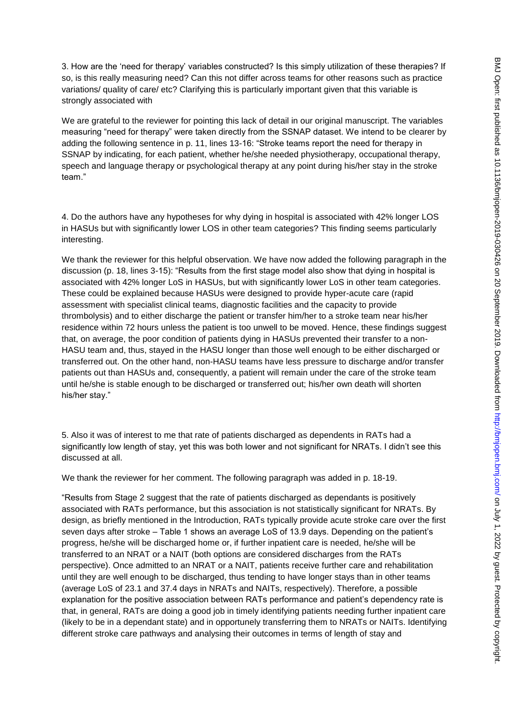3. How are the 'need for therapy' variables constructed? Is this simply utilization of these therapies? If so, is this really measuring need? Can this not differ across teams for other reasons such as practice variations/ quality of care/ etc? Clarifying this is particularly important given that this variable is strongly associated with

We are grateful to the reviewer for pointing this lack of detail in our original manuscript. The variables measuring "need for therapy" were taken directly from the SSNAP dataset. We intend to be clearer by adding the following sentence in p. 11, lines 13-16: "Stroke teams report the need for therapy in SSNAP by indicating, for each patient, whether he/she needed physiotherapy, occupational therapy, speech and language therapy or psychological therapy at any point during his/her stay in the stroke team."

4. Do the authors have any hypotheses for why dying in hospital is associated with 42% longer LOS in HASUs but with significantly lower LOS in other team categories? This finding seems particularly interesting.

We thank the reviewer for this helpful observation. We have now added the following paragraph in the discussion (p. 18, lines 3-15): "Results from the first stage model also show that dying in hospital is associated with 42% longer LoS in HASUs, but with significantly lower LoS in other team categories. These could be explained because HASUs were designed to provide hyper-acute care (rapid assessment with specialist clinical teams, diagnostic facilities and the capacity to provide thrombolysis) and to either discharge the patient or transfer him/her to a stroke team near his/her residence within 72 hours unless the patient is too unwell to be moved. Hence, these findings suggest that, on average, the poor condition of patients dying in HASUs prevented their transfer to a non-HASU team and, thus, stayed in the HASU longer than those well enough to be either discharged or transferred out. On the other hand, non-HASU teams have less pressure to discharge and/or transfer patients out than HASUs and, consequently, a patient will remain under the care of the stroke team until he/she is stable enough to be discharged or transferred out; his/her own death will shorten his/her stay."

5. Also it was of interest to me that rate of patients discharged as dependents in RATs had a significantly low length of stay, yet this was both lower and not significant for NRATs. I didn't see this discussed at all.

We thank the reviewer for her comment. The following paragraph was added in p. 18-19.

"Results from Stage 2 suggest that the rate of patients discharged as dependants is positively associated with RATs performance, but this association is not statistically significant for NRATs. By design, as briefly mentioned in the Introduction, RATs typically provide acute stroke care over the first seven days after stroke – Table 1 shows an average LoS of 13.9 days. Depending on the patient's progress, he/she will be discharged home or, if further inpatient care is needed, he/she will be transferred to an NRAT or a NAIT (both options are considered discharges from the RATs perspective). Once admitted to an NRAT or a NAIT, patients receive further care and rehabilitation until they are well enough to be discharged, thus tending to have longer stays than in other teams (average LoS of 23.1 and 37.4 days in NRATs and NAITs, respectively). Therefore, a possible explanation for the positive association between RATs performance and patient's dependency rate is that, in general, RATs are doing a good job in timely identifying patients needing further inpatient care (likely to be in a dependant state) and in opportunely transferring them to NRATs or NAITs. Identifying different stroke care pathways and analysing their outcomes in terms of length of stay and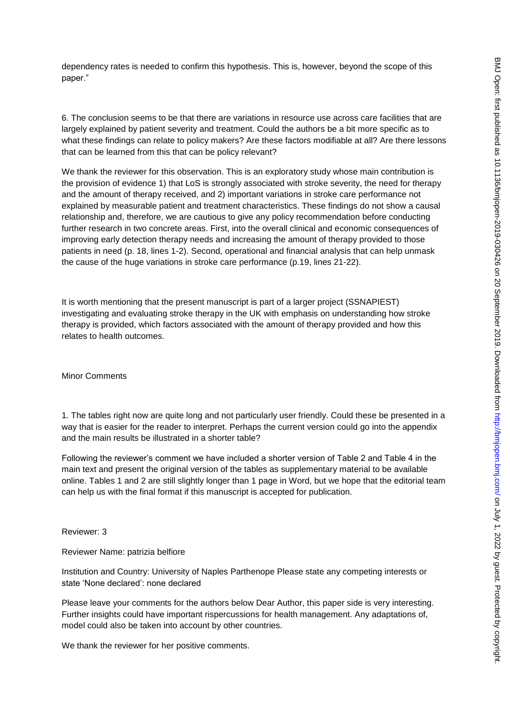dependency rates is needed to confirm this hypothesis. This is, however, beyond the scope of this paper."

6. The conclusion seems to be that there are variations in resource use across care facilities that are largely explained by patient severity and treatment. Could the authors be a bit more specific as to what these findings can relate to policy makers? Are these factors modifiable at all? Are there lessons that can be learned from this that can be policy relevant?

We thank the reviewer for this observation. This is an exploratory study whose main contribution is the provision of evidence 1) that LoS is strongly associated with stroke severity, the need for therapy and the amount of therapy received, and 2) important variations in stroke care performance not explained by measurable patient and treatment characteristics. These findings do not show a causal relationship and, therefore, we are cautious to give any policy recommendation before conducting further research in two concrete areas. First, into the overall clinical and economic consequences of improving early detection therapy needs and increasing the amount of therapy provided to those patients in need (p. 18, lines 1-2). Second, operational and financial analysis that can help unmask the cause of the huge variations in stroke care performance (p.19, lines 21-22).

It is worth mentioning that the present manuscript is part of a larger project (SSNAPIEST) investigating and evaluating stroke therapy in the UK with emphasis on understanding how stroke therapy is provided, which factors associated with the amount of therapy provided and how this relates to health outcomes.

Minor Comments

1. The tables right now are quite long and not particularly user friendly. Could these be presented in a way that is easier for the reader to interpret. Perhaps the current version could go into the appendix and the main results be illustrated in a shorter table?

Following the reviewer's comment we have included a shorter version of Table 2 and Table 4 in the main text and present the original version of the tables as supplementary material to be available online. Tables 1 and 2 are still slightly longer than 1 page in Word, but we hope that the editorial team can help us with the final format if this manuscript is accepted for publication.

Reviewer: 3

Reviewer Name: patrizia belfiore

Institution and Country: University of Naples Parthenope Please state any competing interests or state 'None declared': none declared

Please leave your comments for the authors below Dear Author, this paper side is very interesting. Further insights could have important rispercussions for health management. Any adaptations of, model could also be taken into account by other countries.

We thank the reviewer for her positive comments.